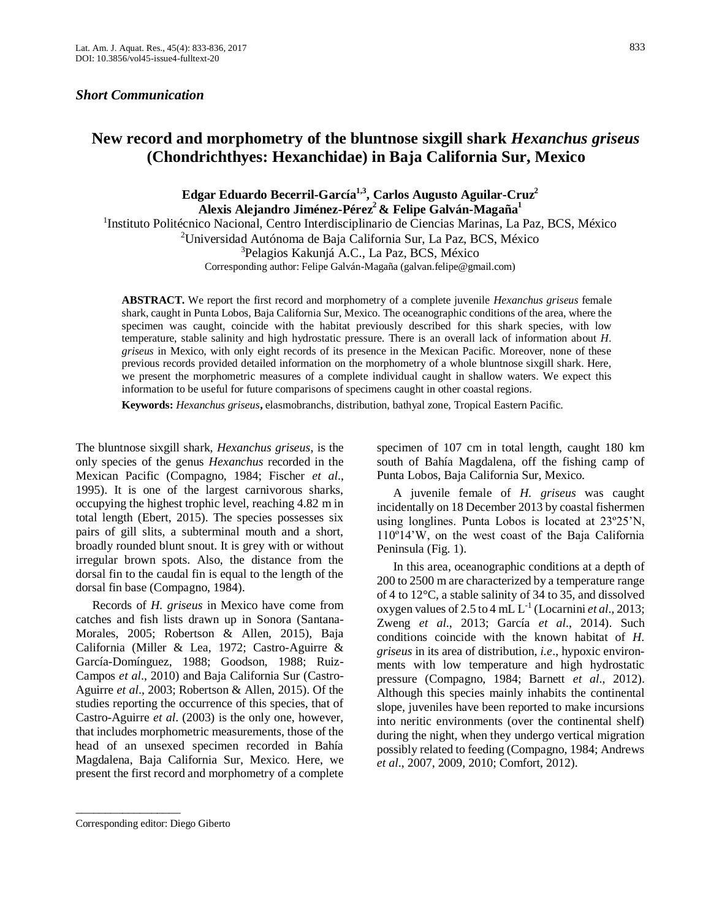## *Short Communication*

# **New record and morphometry of the bluntnose sixgill shark** *Hexanchus griseus*  **(Chondrichthyes: Hexanchidae) in Baja California Sur, Mexico**

## **Edgar Eduardo Becerril-García1,3, Carlos Augusto Aguilar-Cruz<sup>2</sup> Alexis Alejandro Jiménez-Pérez<sup>2</sup>& Felipe Galván-Magaña<sup>1</sup>**

<sup>1</sup>Instituto Politécnico Nacional, Centro Interdisciplinario de Ciencias Marinas, La Paz, BCS, México <sup>2</sup>Universidad Autónoma de Baja California Sur, La Paz, BCS, México <sup>3</sup>Pelagios Kakunjá A.C., La Paz, BCS, México Corresponding author: Felipe Galván-Magaña (galvan.felipe@gmail.com)

**ABSTRACT.** We report the first record and morphometry of a complete juvenile *Hexanchus griseus* female shark, caught in Punta Lobos, Baja California Sur, Mexico. The oceanographic conditions of the area, where the specimen was caught, coincide with the habitat previously described for this shark species, with low temperature, stable salinity and high hydrostatic pressure. There is an overall lack of information about *H. griseus* in Mexico, with only eight records of its presence in the Mexican Pacific. Moreover, none of these previous records provided detailed information on the morphometry of a whole bluntnose sixgill shark. Here, we present the morphometric measures of a complete individual caught in shallow waters. We expect this information to be useful for future comparisons of specimens caught in other coastal regions.

**Keywords:** *Hexanchus griseus***,** elasmobranchs, distribution, bathyal zone, Tropical Eastern Pacific.

The bluntnose sixgill shark, *Hexanchus griseus*, is the only species of the genus *Hexanchus* recorded in the Mexican Pacific (Compagno, 1984; Fischer *et al*., 1995). It is one of the largest carnivorous sharks, occupying the highest trophic level, reaching 4.82 m in total length (Ebert, 2015). The species possesses six pairs of gill slits, a subterminal mouth and a short, broadly rounded blunt snout. It is grey with or without irregular brown spots. Also, the distance from the dorsal fin to the caudal fin is equal to the length of the dorsal fin base (Compagno, 1984).

Records of *H. griseus* in Mexico have come from catches and fish lists drawn up in Sonora (Santana-Morales, 2005; Robertson & Allen, 2015), Baja California (Miller & Lea, 1972; Castro-Aguirre & García-Domínguez, 1988; Goodson, 1988; Ruiz-Campos *et al*., 2010) and Baja California Sur (Castro-Aguirre *et al*., 2003; Robertson & Allen, 2015). Of the studies reporting the occurrence of this species, that of Castro-Aguirre *et al*. (2003) is the only one, however, that includes morphometric measurements, those of the head of an unsexed specimen recorded in Bahía Magdalena, Baja California Sur, Mexico. Here, we present the first record and morphometry of a complete specimen of 107 cm in total length, caught 180 km south of Bahía Magdalena, off the fishing camp of Punta Lobos, Baja California Sur, Mexico.

A juvenile female of *H. griseus* was caught incidentally on 18 December 2013 by coastal fishermen using longlines. Punta Lobos is located at 23º25'N, 110º14'W, on the west coast of the Baja California Peninsula (Fig. 1).

In this area, oceanographic conditions at a depth of 200 to 2500 m are characterized by a temperature range of 4 to 12°C, a stable salinity of 34 to 35, and dissolved oxygen values of 2.5 to 4 mL  $L^{-1}$  (Locarnini *et al.*, 2013; Zweng *et al*., 2013; García *et al*., 2014). Such conditions coincide with the known habitat of *H. griseus* in its area of distribution, *i.e*., hypoxic environments with low temperature and high hydrostatic pressure (Compagno, 1984; Barnett *et al*., 2012). Although this species mainly inhabits the continental slope, juveniles have been reported to make incursions into neritic environments (over the continental shelf) during the night, when they undergo vertical migration possibly related to feeding (Compagno, 1984; Andrews *et al*., 2007, 2009, 2010; Comfort, 2012).

\_\_\_\_\_\_\_\_\_\_\_\_\_\_\_\_\_\_

Corresponding editor: Diego Giberto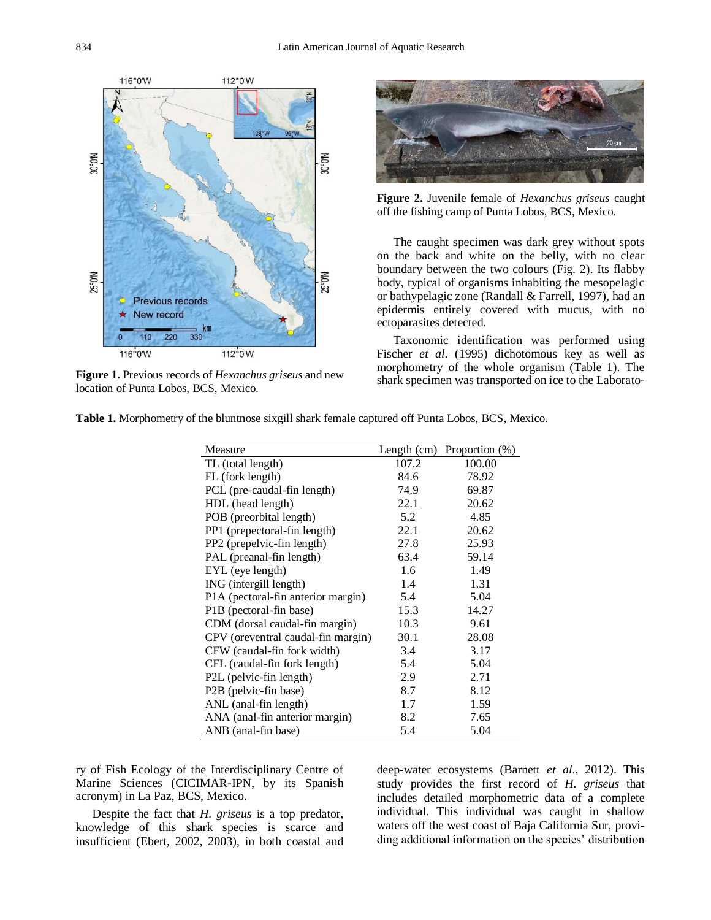

**Figure 1.** Previous records of *Hexanchus griseus* and new location of Punta Lobos, BCS, Mexico.



**Figure 2.** Juvenile female of *Hexanchus griseus* caught off the fishing camp of Punta Lobos, BCS, Mexico.

The caught specimen was dark grey without spots on the back and white on the belly, with no clear boundary between the two colours (Fig. 2). Its flabby body, typical of organisms inhabiting the mesopelagic or bathypelagic zone (Randall & Farrell, 1997), had an epidermis entirely covered with mucus, with no ectoparasites detected.

Taxonomic identification was performed using Fischer *et al*. (1995) dichotomous key as well as morphometry of the whole organism (Table 1). The shark specimen was transported on ice to the Laborato-

| Measure                            |       | Length (cm) Proportion $(\%)$ |
|------------------------------------|-------|-------------------------------|
| TL (total length)                  | 107.2 | 100.00                        |
| FL (fork length)                   | 84.6  | 78.92                         |
| PCL (pre-caudal-fin length)        | 74.9  | 69.87                         |
| HDL (head length)                  | 22.1  | 20.62                         |
| POB (preorbital length)            | 5.2   | 4.85                          |
| PP1 (prepectoral-fin length)       | 22.1  | 20.62                         |
| PP2 (prepelvic-fin length)         | 27.8  | 25.93                         |
| PAL (preanal-fin length)           | 63.4  | 59.14                         |
| EYL (eye length)                   | 1.6   | 1.49                          |
| ING (intergill length)             | 1.4   | 1.31                          |
| P1A (pectoral-fin anterior margin) | 5.4   | 5.04                          |
| P1B (pectoral-fin base)            | 15.3  | 14.27                         |
| CDM (dorsal caudal-fin margin)     | 10.3  | 9.61                          |
| CPV (oreventral caudal-fin margin) | 30.1  | 28.08                         |
| CFW (caudal-fin fork width)        | 3.4   | 3.17                          |
| CFL (caudal-fin fork length)       | 5.4   | 5.04                          |
| P2L (pelvic-fin length)            | 2.9   | 2.71                          |
| P2B (pelvic-fin base)              | 8.7   | 8.12                          |
| ANL (anal-fin length)              | 1.7   | 1.59                          |
| ANA (anal-fin anterior margin)     | 8.2   | 7.65                          |
| ANB (anal-fin base)                | 5.4   | 5.04                          |

**Table 1.** Morphometry of the bluntnose sixgill shark female captured off Punta Lobos, BCS, Mexico.

ry of Fish Ecology of the Interdisciplinary Centre of Marine Sciences (CICIMAR-IPN, by its Spanish acronym) in La Paz, BCS, Mexico.

Despite the fact that *H. griseus* is a top predator, knowledge of this shark species is scarce and insufficient (Ebert, 2002, 2003), in both coastal and deep-water ecosystems (Barnett *et al*., 2012). This study provides the first record of *H. griseus* that includes detailed morphometric data of a complete individual. This individual was caught in shallow waters off the west coast of Baja California Sur, providing additional information on the species' distribution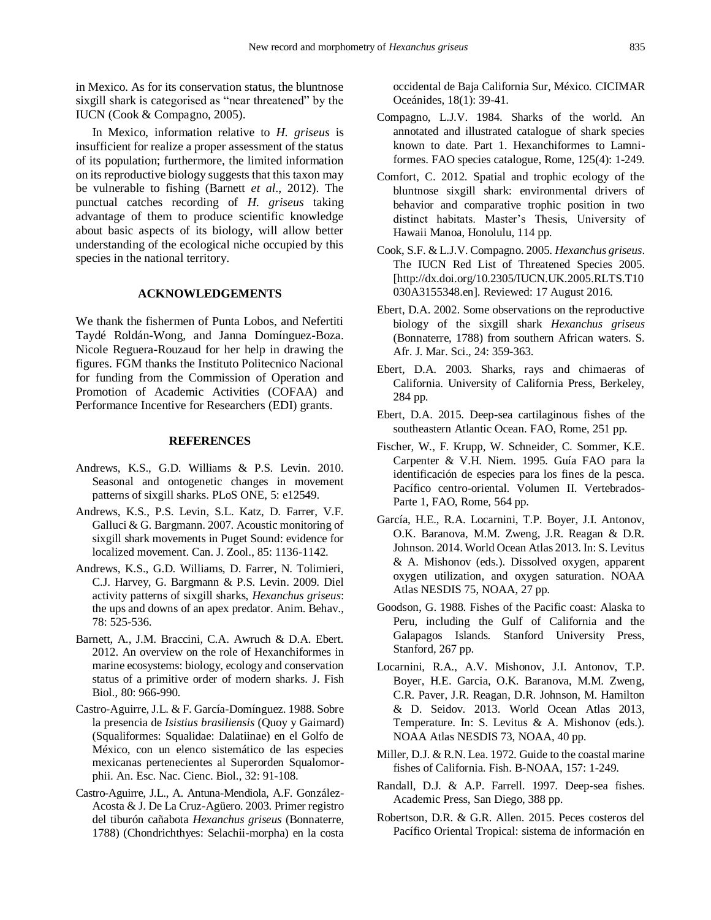in Mexico. As for its conservation status, the bluntnose sixgill shark is categorised as "near threatened" by the IUCN (Cook & Compagno, 2005).

In Mexico, information relative to *H. griseus* is insufficient for realize a proper assessment of the status of its population; furthermore, the limited information on its reproductive biology suggests that this taxon may be vulnerable to fishing (Barnett *et al*., 2012). The punctual catches recording of *H. griseus* taking advantage of them to produce scientific knowledge about basic aspects of its biology, will allow better understanding of the ecological niche occupied by this species in the national territory.

### **ACKNOWLEDGEMENTS**

We thank the fishermen of Punta Lobos, and Nefertiti Taydé Roldán-Wong, and Janna Domínguez-Boza. Nicole Reguera-Rouzaud for her help in drawing the figures. FGM thanks the Instituto Politecnico Nacional for funding from the Commission of Operation and Promotion of Academic Activities (COFAA) and Performance Incentive for Researchers (EDI) grants.

### **REFERENCES**

- Andrews, K.S., G.D. Williams & P.S. Levin. 2010. Seasonal and ontogenetic changes in movement patterns of sixgill sharks. PLoS ONE, 5: e12549.
- Andrews, K.S., P.S. Levin, S.L. Katz, D. Farrer, V.F. Galluci & G. Bargmann. 2007. Acoustic monitoring of sixgill shark movements in Puget Sound: evidence for localized movement. Can. J. Zool., 85: 1136-1142.
- Andrews, K.S., G.D. Williams, D. Farrer, N. Tolimieri, C.J. Harvey, G. Bargmann & P.S. Levin. 2009. Diel activity patterns of sixgill sharks, *Hexanchus griseus*: the ups and downs of an apex predator. Anim. Behav., 78: 525-536.
- Barnett, A., J.M. Braccini, C.A. Awruch & D.A. Ebert. 2012. An overview on the role of Hexanchiformes in marine ecosystems: biology, ecology and conservation status of a primitive order of modern sharks. J. Fish Biol., 80: 966-990.
- Castro-Aguirre, J.L. & F. García-Domínguez. 1988. Sobre la presencia de *Isistius brasiliensis* (Quoy y Gaimard) (Squaliformes: Squalidae: Dalatiinae) en el Golfo de México, con un elenco sistemático de las especies mexicanas pertenecientes al Superorden Squalomorphii. An. Esc. Nac. Cienc. Biol., 32: 91-108.
- Castro-Aguirre, J.L., A. Antuna-Mendiola, A.F. González-Acosta & J. De La Cruz-Agüero. 2003. Primer registro del tiburón cañabota *Hexanchus griseus* (Bonnaterre, 1788) (Chondrichthyes: Selachii-morpha) en la costa

occidental de Baja California Sur, México. CICIMAR Oceánides, 18(1): 39-41.

- Compagno, L.J.V. 1984. Sharks of the world. An annotated and illustrated catalogue of shark species known to date. Part 1. Hexanchiformes to Lamniformes. FAO species catalogue, Rome, 125(4): 1-249.
- Comfort, C. 2012. Spatial and trophic ecology of the bluntnose sixgill shark: environmental drivers of behavior and comparative trophic position in two distinct habitats. Master's Thesis, University of Hawaii Manoa, Honolulu, 114 pp.
- Cook, S.F. & L.J.V. Compagno. 2005. *Hexanchus griseus*. The IUCN Red List of Threatened Species 2005. [http://dx.doi.org/10.2305/IUCN.UK.2005.RLTS.T10 030A3155348.en]. Reviewed: 17 August 2016.
- Ebert, D.A. 2002. Some observations on the reproductive biology of the sixgill shark *Hexanchus griseus* (Bonnaterre, 1788) from southern African waters. S. Afr. J. Mar. Sci., 24: 359-363.
- Ebert, D.A. 2003. Sharks, rays and chimaeras of California. University of California Press, Berkeley, 284 pp.
- Ebert, D.A. 2015. Deep-sea cartilaginous fishes of the southeastern Atlantic Ocean. FAO, Rome, 251 pp.
- Fischer, W., F. Krupp, W. Schneider, C. Sommer, K.E. Carpenter & V.H. Niem. 1995. Guía FAO para la identificación de especies para los fines de la pesca. Pacífico centro-oriental. Volumen II. Vertebrados-Parte 1, FAO, Rome, 564 pp.
- García, H.E., R.A. Locarnini, T.P. Boyer, J.I. Antonov, O.K. Baranova, M.M. Zweng, J.R. Reagan & D.R. Johnson. 2014. World Ocean Atlas 2013. In: S. Levitus & A. Mishonov (eds.). Dissolved oxygen, apparent oxygen utilization, and oxygen saturation. NOAA Atlas NESDIS 75, NOAA, 27 pp.
- Goodson, G. 1988. Fishes of the Pacific coast: Alaska to Peru, including the Gulf of California and the Galapagos Islands. Stanford University Press, Stanford, 267 pp.
- Locarnini, R.A., A.V. Mishonov, J.I. Antonov, T.P. Boyer, H.E. Garcia, O.K. Baranova, M.M. Zweng, C.R. Paver, J.R. Reagan, D.R. Johnson, M. Hamilton & D. Seidov. 2013. World Ocean Atlas 2013, Temperature. In: S. Levitus & A. Mishonov (eds.). NOAA Atlas NESDIS 73, NOAA, 40 pp.
- Miller, D.J. & R.N. Lea. 1972. Guide to the coastal marine fishes of California. Fish. B-NOAA, 157: 1-249.
- Randall, D.J. & A.P. Farrell. 1997. Deep-sea fishes. Academic Press, San Diego, 388 pp.
- Robertson, D.R. & G.R. Allen. 2015. Peces costeros del Pacífico Oriental Tropical: sistema de información en